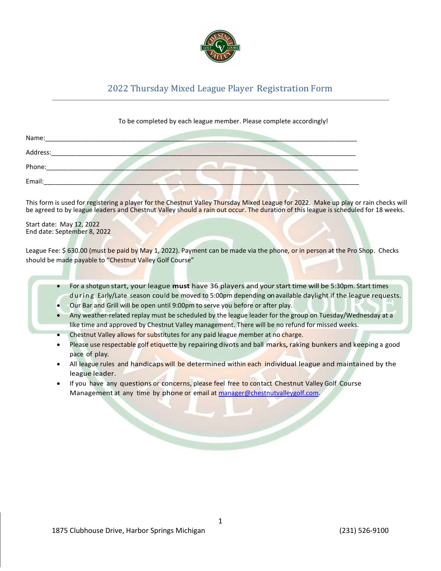

## 2022 Thursday Mixed League Player Registration Form

## To be completed by each league member. Please complete accordingly!

| Name:    |  |  |  |
|----------|--|--|--|
| Address: |  |  |  |
| Phone:   |  |  |  |
| Email:   |  |  |  |

This form is used for registering a player for the Chestnut Valley Thursday Mixed League for 2022. Make up play or rain checks will be agreed to by league leaders and Chestnut Valley should a rain out occur. The duration of this league is scheduled for 18 weeks.

Start date: May 12, 2022 End date: September 8, 2022

League Fee: \$630.00 (must be paid by May 1, 2022). Payment can be made via the phone, or in person at the Pro Shop. Checks should be made payable to "Chestnut Valley Golf Course"

- For a shotgun start, your league must have 36 players and your start time will be 5:30pm. Start times during Early/Late season could be moved to 5:00pm depending on available daylight if the league requests.
- Our Bar and Grill will be open until 9:00pm to serve you before or after play.
- Any weather-related replay must be scheduled by the league leader for the group on Tuesday/Wednesday at a like time and approved by Chestnut Valley management. There will be no refund for missed weeks.
- Chestnut Valley allows for substitutes for any paid league member at no charge.
- Please use respectable golf etiquette by repairing divots and ball marks, raking bunkers and keeping a good pace of play.
- All league rules and handicaps will be determined within each individual league and maintained by the league leader.
- If you have any questions or concerns, please feel free to contact Chestnut Valley Golf Course Management at any time by phone or email at manager@chestnutvalleygolf.com.